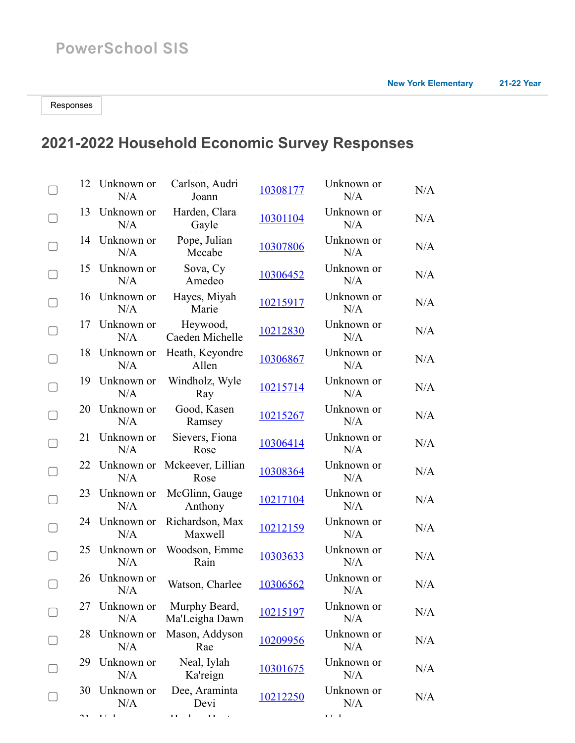## **2021-2022 Household Economic Survey Responses**

| 12 | Unknown or<br>N/A | Carlson, Audri<br>Joann         | 10308177 | Unknown or<br>N/A | N/A |
|----|-------------------|---------------------------------|----------|-------------------|-----|
| 13 | Unknown or<br>N/A | Harden, Clara<br>Gayle          | 10301104 | Unknown or<br>N/A | N/A |
| 14 | Unknown or<br>N/A | Pope, Julian<br>Mccabe          | 10307806 | Unknown or<br>N/A | N/A |
| 15 | Unknown or<br>N/A | Sova, Cy<br>Amedeo              | 10306452 | Unknown or<br>N/A | N/A |
| 16 | Unknown or<br>N/A | Hayes, Miyah<br>Marie           | 10215917 | Unknown or<br>N/A | N/A |
| 17 | Unknown or<br>N/A | Heywood,<br>Caeden Michelle     | 10212830 | Unknown or<br>N/A | N/A |
| 18 | Unknown or<br>N/A | Heath, Keyondre<br>Allen        | 10306867 | Unknown or<br>N/A | N/A |
| 19 | Unknown or<br>N/A | Windholz, Wyle<br>Ray           | 10215714 | Unknown or<br>N/A | N/A |
| 20 | Unknown or<br>N/A | Good, Kasen<br>Ramsey           | 10215267 | Unknown or<br>N/A | N/A |
| 21 | Unknown or<br>N/A | Sievers, Fiona<br>Rose          | 10306414 | Unknown or<br>N/A | N/A |
| 22 | Unknown or<br>N/A | Mckeever, Lillian<br>Rose       | 10308364 | Unknown or<br>N/A | N/A |
| 23 | Unknown or<br>N/A | McGlinn, Gauge<br>Anthony       | 10217104 | Unknown or<br>N/A | N/A |
| 24 | Unknown or<br>N/A | Richardson, Max<br>Maxwell      | 10212159 | Unknown or<br>N/A | N/A |
| 25 | Unknown or<br>N/A | Woodson, Emme<br>Rain           | 10303633 | Unknown or<br>N/A | N/A |
| 26 | Unknown or<br>N/A | Watson, Charlee                 | 10306562 | Unknown or<br>N/A | N/A |
| 27 | Unknown or<br>N/A | Murphy Beard,<br>Ma'Leigha Dawn | 10215197 | Unknown or<br>N/A | N/A |
| 28 | Unknown or<br>N/A | Mason, Addyson<br>Rae           | 10209956 | Unknown or<br>N/A | N/A |
| 29 | Unknown or<br>N/A | Neal, Iylah<br>Ka'reign         | 10301675 | Unknown or<br>N/A | N/A |
| 30 | Unknown or<br>N/A | Dee, Araminta<br>Devi           | 10212250 | Unknown or<br>N/A | N/A |

31 U k H k H t U k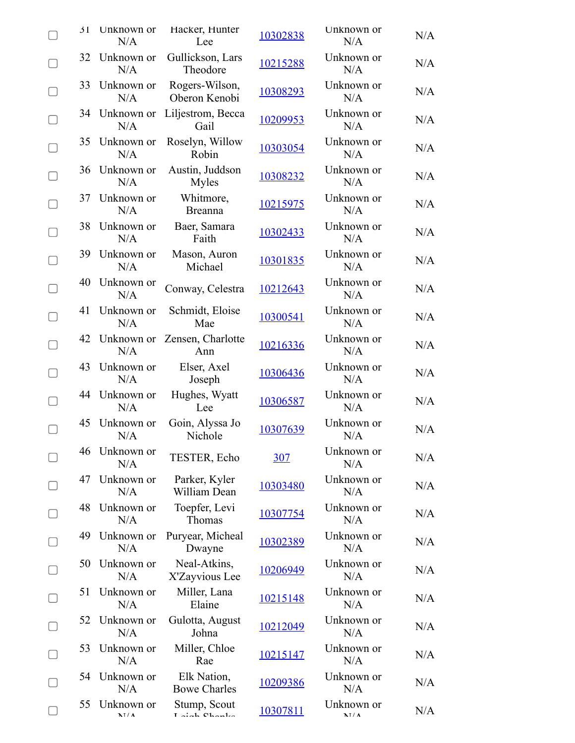| $\Delta$ 1 | Unknown or<br>N/A    | Hacker, Hunter<br>Lee                  | 10302838        | Unknown or<br>N/A  | N/A |
|------------|----------------------|----------------------------------------|-----------------|--------------------|-----|
| 32         | Unknown or<br>N/A    | Gullickson, Lars<br>Theodore           | 10215288        | Unknown or<br>N/A  | N/A |
| 33         | Unknown or<br>N/A    | Rogers-Wilson,<br>Oberon Kenobi        | 10308293        | Unknown or<br>N/A  | N/A |
|            | 34 Unknown or<br>N/A | Liljestrom, Becca<br>Gail              | 10209953        | Unknown or<br>N/A  | N/A |
|            | 35 Unknown or<br>N/A | Roselyn, Willow<br>Robin               | 10303054        | Unknown or<br>N/A  | N/A |
|            | 36 Unknown or<br>N/A | Austin, Juddson<br><b>Myles</b>        | 10308232        | Unknown or<br>N/A  | N/A |
| 37         | Unknown or<br>N/A    | Whitmore,<br><b>Breanna</b>            | 10215975        | Unknown or<br>N/A  | N/A |
|            | 38 Unknown or<br>N/A | Baer, Samara<br>Faith                  | 10302433        | Unknown or<br>N/A  | N/A |
| 39         | Unknown or<br>N/A    | Mason, Auron<br>Michael                | 10301835        | Unknown or<br>N/A  | N/A |
| 40         | Unknown or<br>N/A    | Conway, Celestra                       | 10212643        | Unknown or<br>N/A  | N/A |
| 41         | Unknown or<br>N/A    | Schmidt, Eloise<br>Mae                 | 10300541        | Unknown or<br>N/A  | N/A |
|            | N/A                  | 42 Unknown or Zensen, Charlotte<br>Ann | 10216336        | Unknown or<br>N/A  | N/A |
|            | 43 Unknown or<br>N/A | Elser, Axel<br>Joseph                  | 10306436        | Unknown or<br>N/A  | N/A |
|            | 44 Unknown or<br>N/A | Hughes, Wyatt<br>Lee                   | 10306587        | Unknown or<br>N/A  | N/A |
| 45         | Unknown or<br>N/A    | Goin, Alyssa Jo<br>Nichole             | 10307639        | Unknown or<br>N/A  | N/A |
| 46         | Unknown or<br>N/A    | TESTER, Echo                           | <u>307</u>      | Unknown or<br>N/A  | N/A |
| 47         | Unknown or<br>N/A    | Parker, Kyler<br>William Dean          | 10303480        | Unknown or<br>N/A  | N/A |
| 48         | Unknown or<br>N/A    | Toepfer, Levi<br>Thomas                | 10307754        | Unknown or<br>N/A  | N/A |
| 49.        | Unknown or<br>N/A    | Puryear, Micheal<br>Dwayne             | 10302389        | Unknown or<br>N/A  | N/A |
| 50         | Unknown or<br>N/A    | Neal-Atkins,<br>X'Zayvious Lee         | 10206949        | Unknown or<br>N/A  | N/A |
| 51         | Unknown or<br>N/A    | Miller, Lana<br>Elaine                 | 10215148        | Unknown or<br>N/A  | N/A |
| 52         | Unknown or<br>N/A    | Gulotta, August<br>Johna               | 10212049        | Unknown or<br>N/A  | N/A |
| 53         | Unknown or<br>N/A    | Miller, Chloe<br>Rae                   | <u>10215147</u> | Unknown or<br>N/A  | N/A |
| 54         | Unknown or<br>N/A    | Elk Nation,<br><b>Bowe Charles</b>     | 10209386        | Unknown or<br>N/A  | N/A |
| 55         | Unknown or<br>NT/A   | Stump, Scout<br>I sigh Chanks          | 10307811        | Unknown or<br>NT/A | N/A |